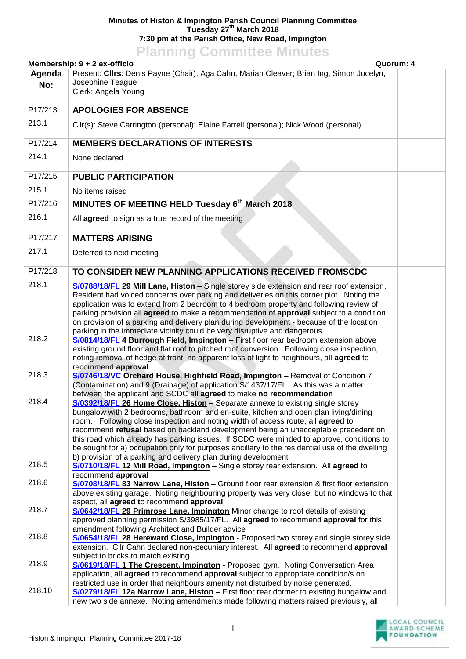## **Minutes of Histon & Impington Parish Council Planning Committee Tuesday 27th March 2018 7:30 pm at the Parish Office, New Road, Impington**

## **Planning Committee Minutes**

| Membership: 9 + 2 ex-officio<br>Quorum: 4 |                                                                                                                                                                                                                                                                                                                                                                                                                                                                                                                                                     |  |  |  |
|-------------------------------------------|-----------------------------------------------------------------------------------------------------------------------------------------------------------------------------------------------------------------------------------------------------------------------------------------------------------------------------------------------------------------------------------------------------------------------------------------------------------------------------------------------------------------------------------------------------|--|--|--|
| Agenda<br>No:                             | Present: Cllrs: Denis Payne (Chair), Aga Cahn, Marian Cleaver; Brian Ing, Simon Jocelyn,<br>Josephine Teague<br>Clerk: Angela Young                                                                                                                                                                                                                                                                                                                                                                                                                 |  |  |  |
| P17/213                                   | <b>APOLOGIES FOR ABSENCE</b>                                                                                                                                                                                                                                                                                                                                                                                                                                                                                                                        |  |  |  |
| 213.1                                     | Cllr(s): Steve Carrington (personal); Elaine Farrell (personal); Nick Wood (personal)                                                                                                                                                                                                                                                                                                                                                                                                                                                               |  |  |  |
| P17/214                                   | <b>MEMBERS DECLARATIONS OF INTERESTS</b>                                                                                                                                                                                                                                                                                                                                                                                                                                                                                                            |  |  |  |
| 214.1                                     | None declared                                                                                                                                                                                                                                                                                                                                                                                                                                                                                                                                       |  |  |  |
| P17/215                                   | <b>PUBLIC PARTICIPATION</b>                                                                                                                                                                                                                                                                                                                                                                                                                                                                                                                         |  |  |  |
| 215.1                                     | No items raised                                                                                                                                                                                                                                                                                                                                                                                                                                                                                                                                     |  |  |  |
| P17/216                                   | MINUTES OF MEETING HELD Tuesday 6th March 2018                                                                                                                                                                                                                                                                                                                                                                                                                                                                                                      |  |  |  |
| 216.1                                     | All agreed to sign as a true record of the meeting                                                                                                                                                                                                                                                                                                                                                                                                                                                                                                  |  |  |  |
| P17/217                                   | <b>MATTERS ARISING</b>                                                                                                                                                                                                                                                                                                                                                                                                                                                                                                                              |  |  |  |
| 217.1                                     | Deferred to next meeting                                                                                                                                                                                                                                                                                                                                                                                                                                                                                                                            |  |  |  |
| P17/218                                   | TO CONSIDER NEW PLANNING APPLICATIONS RECEIVED FROMSCDC                                                                                                                                                                                                                                                                                                                                                                                                                                                                                             |  |  |  |
| 218.1                                     | S/0788/18/FL 29 Mill Lane, Histon - Single storey side extension and rear roof extension.<br>Resident had voiced concerns over parking and deliveries on this corner plot. Noting the<br>application was to extend from 2 bedroom to 4 bedroom property and following review of<br>parking provision all agreed to make a recommendation of approval subject to a condition<br>on provision of a parking and delivery plan during development - because of the location<br>parking in the immediate vicinity could be very disruptive and dangerous |  |  |  |
| 218.2                                     | S/0814/18/FL 4 Burrough Field, Impington - First floor rear bedroom extension above<br>existing ground floor and flat roof to pitched roof conversion. Following close inspection,<br>noting removal of hedge at front, no apparent loss of light to neighbours, all agreed to<br>recommend approval                                                                                                                                                                                                                                                |  |  |  |
| 218.3                                     | S/0746/18/VC Orchard House, Highfield Road, Impington - Removal of Condition 7<br>(Contamination) and 9 (Drainage) of application S/1437/17/FL. As this was a matter<br>between the applicant and SCDC all agreed to make no recommendation                                                                                                                                                                                                                                                                                                         |  |  |  |
| 218.4                                     | S/0392/18/FL 26 Home Close, Histon - Separate annexe to existing single storey<br>bungalow with 2 bedrooms, bathroom and en-suite, kitchen and open plan living/dining<br>room. Following close inspection and noting width of access route, all agreed to<br>recommend refusal based on backland development being an unacceptable precedent on<br>this road which already has parking issues. If SCDC were minded to approve, conditions to<br>be sought for a) occupation only for purposes ancillary to the residential use of the dwelling     |  |  |  |
| 218.5                                     | b) provision of a parking and delivery plan during development<br>S/0710/18/FL 12 Mill Road, Impington - Single storey rear extension. All agreed to<br>recommend approval                                                                                                                                                                                                                                                                                                                                                                          |  |  |  |
| 218.6                                     | S/0708/18/FL 83 Narrow Lane, Histon - Ground floor rear extension & first floor extension<br>above existing garage. Noting neighbouring property was very close, but no windows to that<br>aspect, all agreed to recommend approval                                                                                                                                                                                                                                                                                                                 |  |  |  |
| 218.7                                     | S/0642/18/FL 29 Primrose Lane, Impington Minor change to roof details of existing<br>approved planning permission S/3985/17/FL. All agreed to recommend approval for this<br>amendment following Architect and Builder advice                                                                                                                                                                                                                                                                                                                       |  |  |  |
| 218.8                                     | S/0654/18/FL 28 Hereward Close, Impington - Proposed two storey and single storey side<br>extension. Cllr Cahn declared non-pecuniary interest. All agreed to recommend approval<br>subject to bricks to match existing                                                                                                                                                                                                                                                                                                                             |  |  |  |
| 218.9                                     | S/0619/18/FL 1 The Crescent, Impington - Proposed gym. Noting Conversation Area<br>application, all agreed to recommend approval subject to appropriate condition/s on<br>restricted use in order that neighbours amenity not disturbed by noise generated.                                                                                                                                                                                                                                                                                         |  |  |  |
| 218.10                                    | S/0279/18/FL 12a Narrow Lane, Histon - First floor rear dormer to existing bungalow and<br>new two side annexe. Noting amendments made following matters raised previously, all                                                                                                                                                                                                                                                                                                                                                                     |  |  |  |